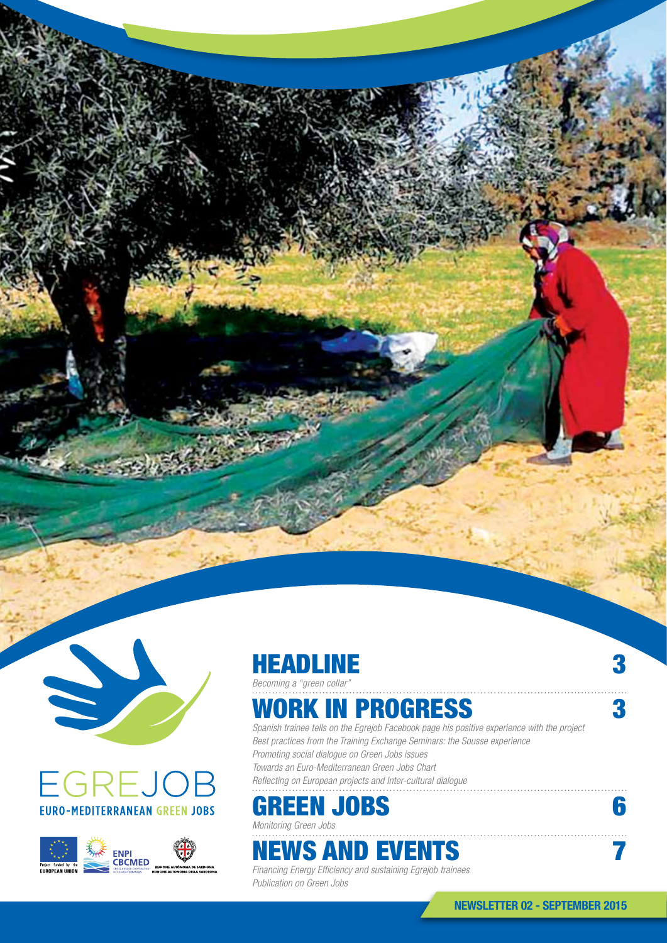







*Becoming a "green collar"*

### WORK IN PROGRESS 3

*Spanish trainee tells on the Egrejob Facebook page his positive experience with the project Best practices from the Training Exchange Seminars: the Sousse experience Promoting social dialogue on Green Jobs issues Towards an Euro-Mediterranean Green Jobs Chart Reflecting on European projects and Inter-cultural dialogue*

## GREEN JOBS 6

*Monitoring Green Jobs*

## **NEWS AND EVENTS 7**

*Financing Energy Efficiency and sustaining Egrejob trainees Publication on Green Jobs*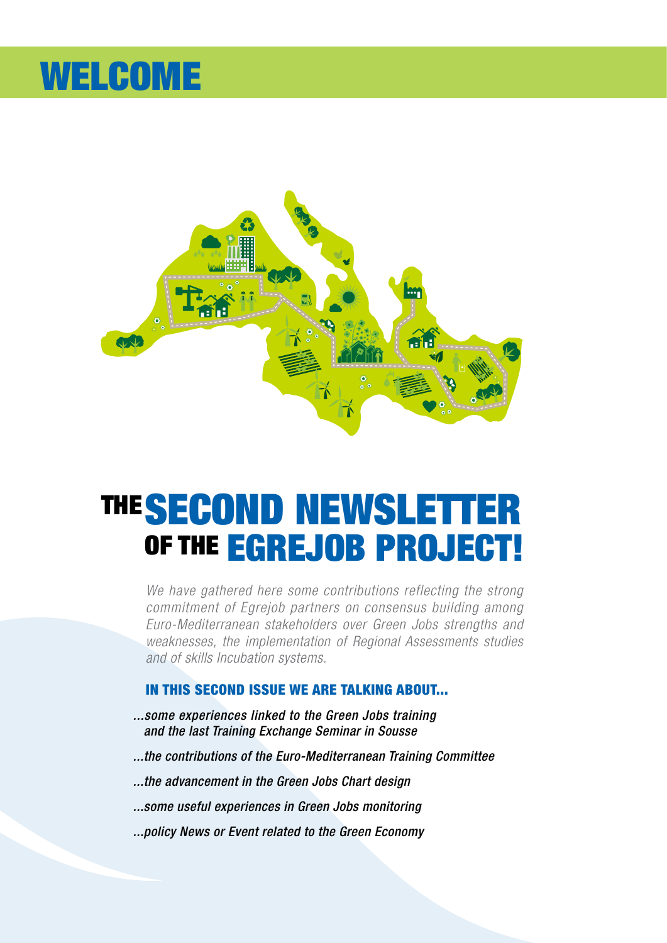## WELCOME



## OF THE EGREJOB PROJECT! THE SECOND NEWSLETT

*We have gathered here some contributions reflecting the strong commitment of Egrejob partners on consensus building among Euro-Mediterranean stakeholders over Green Jobs strengths and weaknesses, the implementation of Regional Assessments studies and of skills Incubation systems.* 

#### In this second issue we are talking about...

- *...some experiences linked to the Green Jobs training and the last Training Exchange Seminar in Sousse*
- *...the contributions of the Euro-Mediterranean Training Committee*
- *...the advancement in the Green Jobs Chart design*
- *...some useful experiences in Green Jobs monitoring*
- *...policy News or Event related to the Green Economy*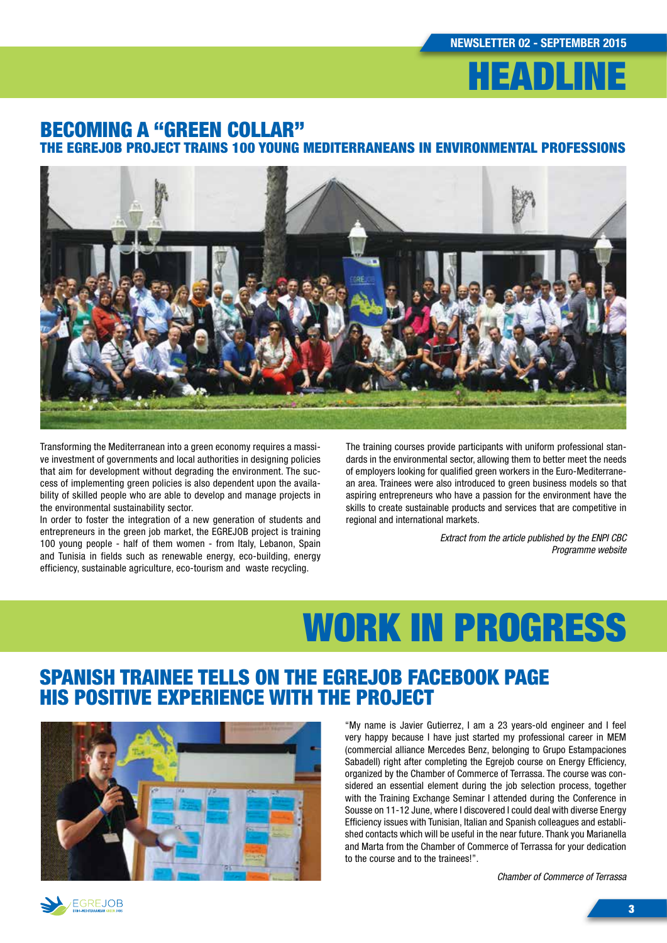

#### Becoming a "green collar" the EGREJOB project trains 100 young Mediterraneans in environmental professions



Transforming the Mediterranean into a green economy requires a massive investment of governments and local authorities in designing policies that aim for development without degrading the environment. The success of implementing green policies is also dependent upon the availability of skilled people who are able to develop and manage projects in the environmental sustainability sector.

In order to foster the integration of a new generation of students and entrepreneurs in the green job market, the EGREJOB project is training 100 young people - half of them women - from Italy, Lebanon, Spain and Tunisia in fields such as renewable energy, eco-building, energy efficiency, sustainable agriculture, eco-tourism and waste recycling.

The training courses provide participants with uniform professional standards in the environmental sector, allowing them to better meet the needs of employers looking for qualified green workers in the Euro-Mediterranean area. Trainees were also introduced to green business models so that aspiring entrepreneurs who have a passion for the environment have the skills to create sustainable products and services that are competitive in regional and international markets.

> *Extract from the article published by the ENPI CBC Programme website*

## WORK IN PROGRESS

### Spanish trainee tells on the Egrejob Facebook page his positive experience with the project



"My name is Javier Gutierrez, I am a 23 years-old engineer and I feel very happy because I have just started my professional career in MEM (commercial alliance Mercedes Benz, belonging to Grupo Estampaciones Sabadell) right after completing the Egrejob course on Energy Efficiency, organized by the Chamber of Commerce of Terrassa. The course was considered an essential element during the job selection process, together with the Training Exchange Seminar I attended during the Conference in Sousse on 11-12 June, where I discovered I could deal with diverse Energy Efficiency issues with Tunisian, Italian and Spanish colleagues and established contacts which will be useful in the near future. Thank you Marianella and Marta from the Chamber of Commerce of Terrassa for your dedication to the course and to the trainees!".

*Chamber of Commerce of Terrassa*

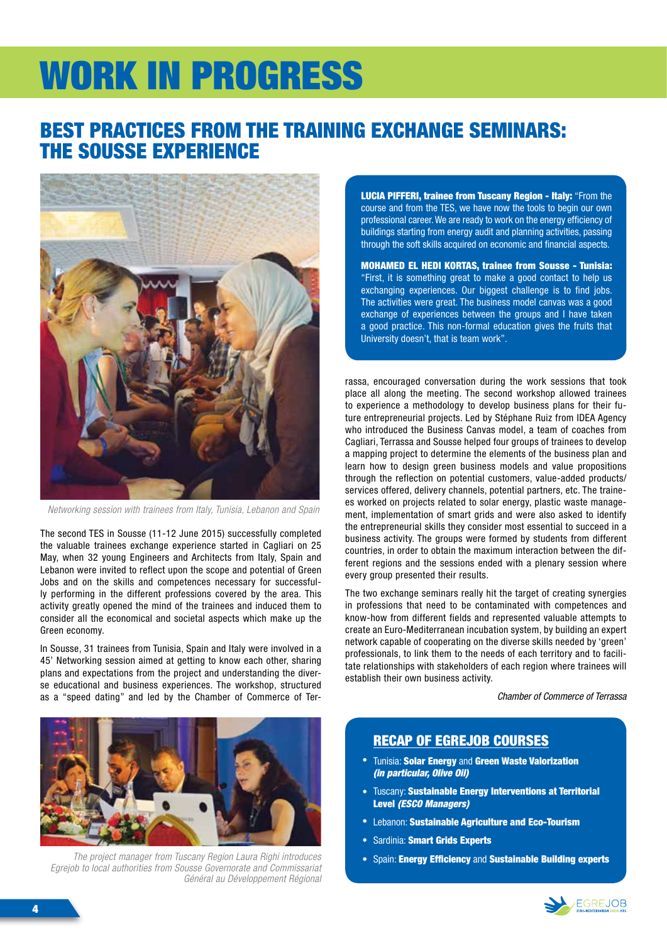# WORK IN PROGRESS

### Best practices from the Training Exchange Seminars: the Sousse experience



*Networking session with trainees from Italy, Tunisia, Lebanon and Spain*

The second TES in Sousse (11-12 June 2015) successfully completed the valuable trainees exchange experience started in Cagliari on 25 May, when 32 young Engineers and Architects from Italy, Spain and Lebanon were invited to reflect upon the scope and potential of Green Jobs and on the skills and competences necessary for successfully performing in the different professions covered by the area. This activity greatly opened the mind of the trainees and induced them to consider all the economical and societal aspects which make up the Green economy.

In Sousse, 31 trainees from Tunisia, Spain and Italy were involved in a 45' Networking session aimed at getting to know each other, sharing plans and expectations from the project and understanding the diverse educational and business experiences. The workshop, structured as a "speed dating" and led by the Chamber of Commerce of Ter-



*The project manager from Tuscany Region Laura Righi introduces Egrejob to local authorities from Sousse Governorate and Commissariat Général au Développement Régional*

**LUCIA PIFFERI, trainee from Tuscany Region - Italy: "From the** course and from the TES, we have now the tools to begin our own professional career. We are ready to work on the energy efficiency of buildings starting from energy audit and planning activities, passing through the soft skills acquired on economic and financial aspects.

Mohamed el Hedi Kortas, trainee from Sousse - Tunisia: "First, it is something great to make a good contact to help us exchanging experiences. Our biggest challenge is to find jobs. The activities were great. The business model canvas was a good exchange of experiences between the groups and I have taken a good practice. This non-formal education gives the fruits that University doesn't, that is team work".

rassa, encouraged conversation during the work sessions that took place all along the meeting. The second workshop allowed trainees to experience a methodology to develop business plans for their future entrepreneurial projects. Led by Stéphane Ruiz from IDEA Agency who introduced the Business Canvas model, a team of coaches from Cagliari, Terrassa and Sousse helped four groups of trainees to develop a mapping project to determine the elements of the business plan and learn how to design green business models and value propositions through the reflection on potential customers, value-added products/ services offered, delivery channels, potential partners, etc. The trainees worked on projects related to solar energy, plastic waste management, implementation of smart grids and were also asked to identify the entrepreneurial skills they consider most essential to succeed in a business activity. The groups were formed by students from different countries, in order to obtain the maximum interaction between the different regions and the sessions ended with a plenary session where every group presented their results.

The two exchange seminars really hit the target of creating synergies in professions that need to be contaminated with competences and know-how from different fields and represented valuable attempts to create an Euro-Mediterranean incubation system, by building an expert network capable of cooperating on the diverse skills needed by 'green' professionals, to link them to the needs of each territory and to facilitate relationships with stakeholders of each region where trainees will establish their own business activity.

*Chamber of Commerce of Terrassa*

#### Recap of Egrejob courses

- **Tunisia: Solar Energy and Green Waste Valorization** *(in particular, Olive Oil)*
- Tuscany: Sustainable Energy Interventions at Territorial Level *(ESCO Managers)*
- Lebanon: Sustainable Agriculture and Eco-Tourism
- Sardinia: Smart Grids Experts
- Spain: Energy Efficiency and Sustainable Building experts

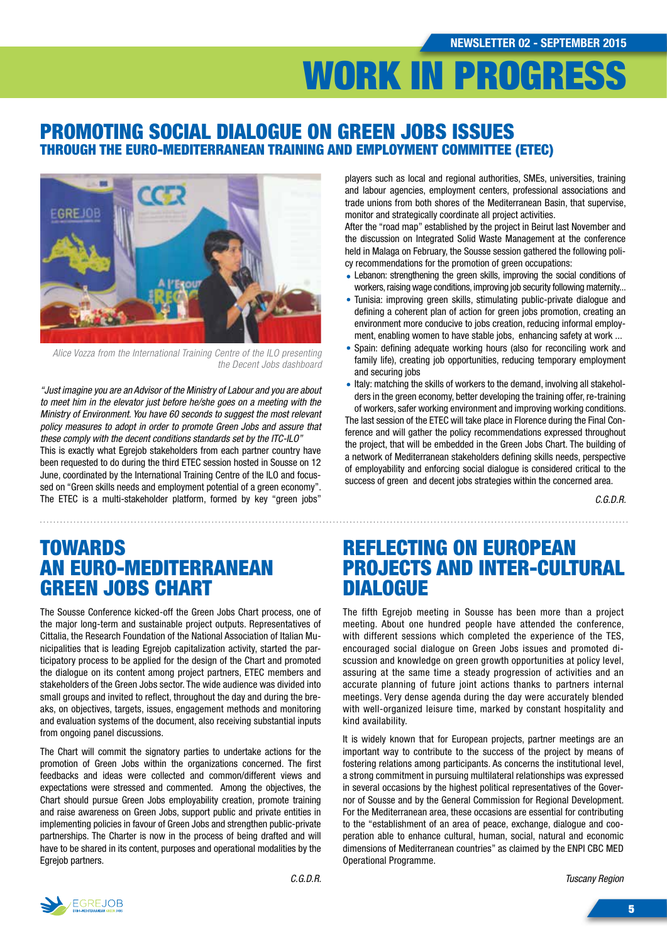## WORK IN PROGRESS

#### Promoting social dialogue on Green Jobs issues through the Euro-Mediterranean Training and Employment Committee (ETEC)



*Alice Vozza from the International Training Centre of the ILO presenting the Decent Jobs dashboard*

*"Just imagine you are an Advisor of the Ministry of Labour and you are about to meet him in the elevator just before he/she goes on a meeting with the Ministry of Environment. You have 60 seconds to suggest the most relevant policy measures to adopt in order to promote Green Jobs and assure that these comply with the decent conditions standards set by the ITC-ILO"* This is exactly what Egrejob stakeholders from each partner country have been requested to do during the third ETEC session hosted in Sousse on 12 June, coordinated by the International Training Centre of the ILO and focussed on "Green skills needs and employment potential of a green economy". The ETEC is a multi-stakeholder platform, formed by key "green jobs"

players such as local and regional authorities, SMEs, universities, training and labour agencies, employment centers, professional associations and trade unions from both shores of the Mediterranean Basin, that supervise, monitor and strategically coordinate all project activities.

After the "road map" established by the project in Beirut last November and the discussion on Integrated Solid Waste Management at the conference held in Malaga on February, the Sousse session gathered the following policy recommendations for the promotion of green occupations:

- Lebanon: strengthening the green skills, improving the social conditions of workers, raising wage conditions, improving job security following maternity...
- Tunisia: improving green skills, stimulating public-private dialogue and defining a coherent plan of action for green jobs promotion, creating an environment more conducive to jobs creation, reducing informal employment, enabling women to have stable jobs, enhancing safety at work ...
- Spain: defining adequate working hours (also for reconciling work and family life), creating job opportunities, reducing temporary employment and securing jobs
- Italy: matching the skills of workers to the demand, involving all stakeholders in the green economy, better developing the training offer, re-training of workers, safer working environment and improving working conditions.

The last session of the ETEC will take place in Florence during the Final Conference and will gather the policy recommendations expressed throughout the project, that will be embedded in the Green Jobs Chart. The building of a network of Mediterranean stakeholders defining skills needs, perspective of employability and enforcing social dialogue is considered critical to the success of green and decent jobs strategies within the concerned area.

*C.G.D.R.* 

### **TOWARDS** an Euro-Mediterranean Green Jobs Chart

The Sousse Conference kicked-off the Green Jobs Chart process, one of the major long-term and sustainable project outputs. Representatives of Cittalia, the Research Foundation of the National Association of Italian Municipalities that is leading Egrejob capitalization activity, started the participatory process to be applied for the design of the Chart and promoted the dialogue on its content among project partners, ETEC members and stakeholders of the Green Jobs sector. The wide audience was divided into small groups and invited to reflect, throughout the day and during the breaks, on objectives, targets, issues, engagement methods and monitoring and evaluation systems of the document, also receiving substantial inputs from ongoing panel discussions.

The Chart will commit the signatory parties to undertake actions for the promotion of Green Jobs within the organizations concerned. The first feedbacks and ideas were collected and common/different views and expectations were stressed and commented. Among the objectives, the Chart should pursue Green Jobs employability creation, promote training and raise awareness on Green Jobs, support public and private entities in implementing policies in favour of Green Jobs and strengthen public-private partnerships. The Charter is now in the process of being drafted and will have to be shared in its content, purposes and operational modalities by the Egrejob partners.

### Reflecting on European projects and Inter-cultural **DIALOGUE**

The fifth Egrejob meeting in Sousse has been more than a project meeting. About one hundred people have attended the conference, with different sessions which completed the experience of the TES, encouraged social dialogue on Green Jobs issues and promoted discussion and knowledge on green growth opportunities at policy level, assuring at the same time a steady progression of activities and an accurate planning of future joint actions thanks to partners internal meetings. Very dense agenda during the day were accurately blended with well-organized leisure time, marked by constant hospitality and kind availability.

It is widely known that for European projects, partner meetings are an important way to contribute to the success of the project by means of fostering relations among participants. As concerns the institutional level, a strong commitment in pursuing multilateral relationships was expressed in several occasions by the highest political representatives of the Governor of Sousse and by the General Commission for Regional Development. For the Mediterranean area, these occasions are essential for contributing to the "establishment of an area of peace, exchange, dialogue and cooperation able to enhance cultural, human, social, natural and economic dimensions of Mediterranean countries" as claimed by the ENPI CBC MED Operational Programme.

*Tuscany Region*

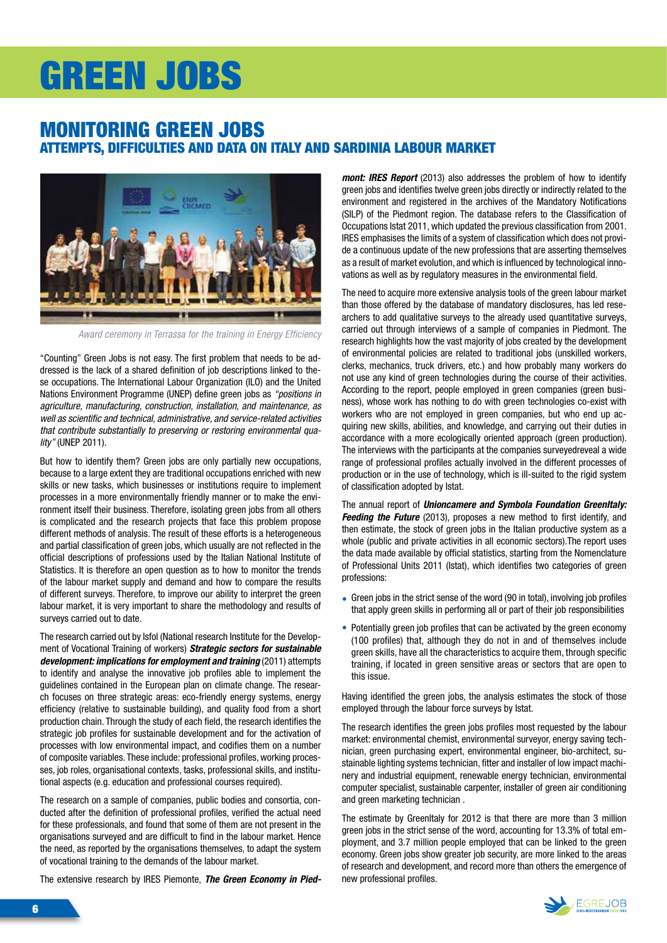## GREEN JOBS

#### Monitoring green jobs attempts, difficulties and data on Italy and Sardinia labour market



*Award ceremony in Terrassa for the training in Energy Efficiency*

"Counting" Green Jobs is not easy. The first problem that needs to be addressed is the lack of a shared definition of job descriptions linked to these occupations. The International Labour Organization (ILO) and the United Nations Environment Programme (UNEP) define green jobs as *"positions in agriculture, manufacturing, construction, installation, and maintenance, as well as scientific and technical, administrative, and service-related activities that contribute substantially to preserving or restoring environmental quality"* (UNEP 2011).

But how to identify them? Green jobs are only partially new occupations, because to a large extent they are traditional occupations enriched with new skills or new tasks, which businesses or institutions require to implement processes in a more environmentally friendly manner or to make the environment itself their business. Therefore, isolating green jobs from all others is complicated and the research projects that face this problem propose different methods of analysis. The result of these efforts is a heterogeneous and partial classification of green jobs, which usually are not reflected in the official descriptions of professions used by the Italian National Institute of Statistics. It is therefore an open question as to how to monitor the trends of the labour market supply and demand and how to compare the results of different surveys. Therefore, to improve our ability to interpret the green labour market, it is very important to share the methodology and results of surveys carried out to date.

The research carried out by Isfol (National research Institute for the Development of Vocational Training of workers) *Strategic sectors for sustainable development: implications for employment and training* (2011) attempts to identify and analyse the innovative job profiles able to implement the guidelines contained in the European plan on climate change. The research focuses on three strategic areas: eco-friendly energy systems, energy efficiency (relative to sustainable building), and quality food from a short production chain. Through the study of each field, the research identifies the strategic job profiles for sustainable development and for the activation of processes with low environmental impact, and codifies them on a number of composite variables. These include: professional profiles, working processes, job roles, organisational contexts, tasks, professional skills, and institutional aspects (e.g. education and professional courses required).

The research on a sample of companies, public bodies and consortia, conducted after the definition of professional profiles, verified the actual need for these professionals, and found that some of them are not present in the organisations surveyed and are difficult to find in the labour market. Hence the need, as reported by the organisations themselves, to adapt the system of vocational training to the demands of the labour market.

The extensive research by IRES Piemonte, *The Green Economy in Pied-*

*mont: IRES Report* (2013) also addresses the problem of how to identify green jobs and identifies twelve green jobs directly or indirectly related to the environment and registered in the archives of the Mandatory Notifications (SILP) of the Piedmont region. The database refers to the Classification of Occupations Istat 2011, which updated the previous classification from 2001. IRES emphasises the limits of a system of classification which does not provide a continuous update of the new professions that are asserting themselves as a result of market evolution, and which is influenced by technological innovations as well as by regulatory measures in the environmental field.

The need to acquire more extensive analysis tools of the green labour market than those offered by the database of mandatory disclosures, has led researchers to add qualitative surveys to the already used quantitative surveys, carried out through interviews of a sample of companies in Piedmont. The research highlights how the vast majority of jobs created by the development of environmental policies are related to traditional jobs (unskilled workers, clerks, mechanics, truck drivers, etc.) and how probably many workers do not use any kind of green technologies during the course of their activities. According to the report, people employed in green companies (green business), whose work has nothing to do with green technologies co-exist with workers who are not employed in green companies, but who end up acquiring new skills, abilities, and knowledge, and carrying out their duties in accordance with a more ecologically oriented approach (green production). The interviews with the participants at the companies surveyedreveal a wide range of professional profiles actually involved in the different processes of production or in the use of technology, which is ill-suited to the rigid system of classification adopted by Istat.

The annual report of *Unioncamere and Symbola Foundation GreenItaly: Feeding the Future* (2013), proposes a new method to first identify, and then estimate, the stock of green jobs in the Italian productive system as a whole (public and private activities in all economic sectors).The report uses the data made available by official statistics, starting from the Nomenclature of Professional Units 2011 (Istat), which identifies two categories of green professions:

- Green jobs in the strict sense of the word (90 in total), involving job profiles that apply green skills in performing all or part of their job responsibilities
- Potentially green job profiles that can be activated by the green economy (100 profiles) that, although they do not in and of themselves include green skills, have all the characteristics to acquire them, through specific training, if located in green sensitive areas or sectors that are open to this issue.

Having identified the green jobs, the analysis estimates the stock of those employed through the labour force surveys by Istat.

The research identifies the green jobs profiles most requested by the labour market: environmental chemist, environmental surveyor, energy saving technician, green purchasing expert, environmental engineer, bio-architect, sustainable lighting systems technician, fitter and installer of low impact machinery and industrial equipment, renewable energy technician, environmental computer specialist, sustainable carpenter, installer of green air conditioning and green marketing technician .

The estimate by GreenItaly for 2012 is that there are more than 3 million green jobs in the strict sense of the word, accounting for 13.3% of total employment, and 3.7 million people employed that can be linked to the green economy. Green jobs show greater job security, are more linked to the areas of research and development, and record more than others the emergence of new professional profiles.

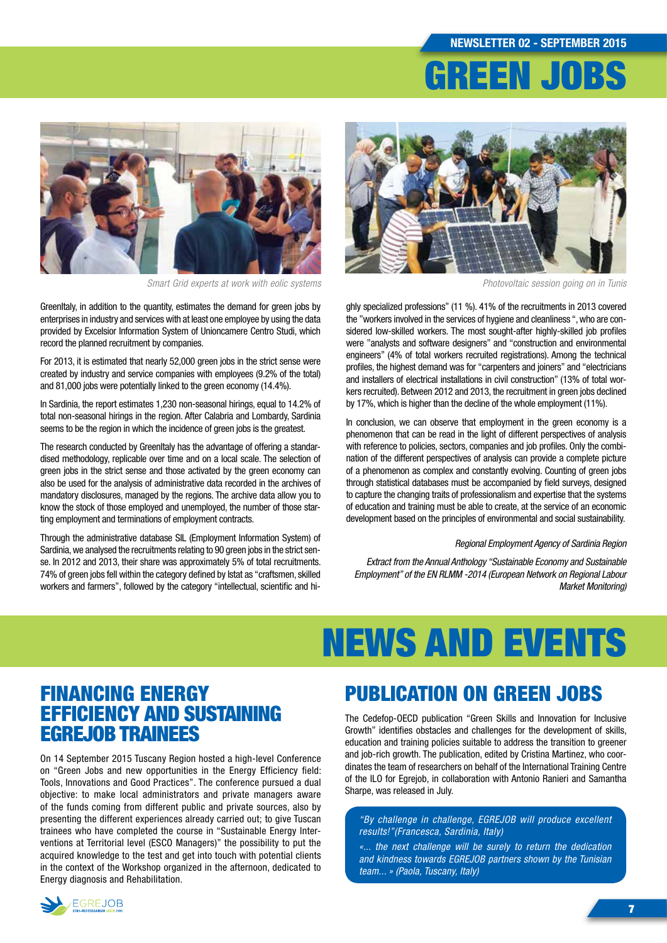# GREEN JOBS



*Smart Grid experts at work with eolic systems Photovoltaic session going on in Tunis* 

GreenItaly, in addition to the quantity, estimates the demand for green jobs by enterprises in industry and services with at least one employee by using the data provided by Excelsior Information System of Unioncamere Centro Studi, which record the planned recruitment by companies.

For 2013, it is estimated that nearly 52,000 green jobs in the strict sense were created by industry and service companies with employees (9.2% of the total) and 81,000 jobs were potentially linked to the green economy (14.4%).

In Sardinia, the report estimates 1,230 non-seasonal hirings, equal to 14.2% of total non-seasonal hirings in the region. After Calabria and Lombardy, Sardinia seems to be the region in which the incidence of green jobs is the greatest.

The research conducted by GreenItaly has the advantage of offering a standardised methodology, replicable over time and on a local scale. The selection of green jobs in the strict sense and those activated by the green economy can also be used for the analysis of administrative data recorded in the archives of mandatory disclosures, managed by the regions. The archive data allow you to know the stock of those employed and unemployed, the number of those starting employment and terminations of employment contracts.

Through the administrative database SIL (Employment Information System) of Sardinia, we analysed the recruitments relating to 90 green jobs in the strict sense. In 2012 and 2013, their share was approximately 5% of total recruitments. 74% of green jobs fell within the category defined by Istat as "craftsmen, skilled workers and farmers", followed by the category "intellectual, scientific and hi-



ghly specialized professions" (11 %). 41% of the recruitments in 2013 covered the "workers involved in the services of hygiene and cleanliness ", who are considered low-skilled workers. The most sought-after highly-skilled job profiles were "analysts and software designers" and "construction and environmental engineers" (4% of total workers recruited registrations). Among the technical profiles, the highest demand was for "carpenters and joiners" and "electricians and installers of electrical installations in civil construction" (13% of total workers recruited). Between 2012 and 2013, the recruitment in green jobs declined by 17%, which is higher than the decline of the whole employment (11%).

In conclusion, we can observe that employment in the green economy is a phenomenon that can be read in the light of different perspectives of analysis with reference to policies, sectors, companies and job profiles. Only the combination of the different perspectives of analysis can provide a complete picture of a phenomenon as complex and constantly evolving. Counting of green jobs through statistical databases must be accompanied by field surveys, designed to capture the changing traits of professionalism and expertise that the systems of education and training must be able to create, at the service of an economic development based on the principles of environmental and social sustainability.

#### *Regional Employment Agency of Sardinia Region*

*Extract from the Annual Anthology "Sustainable Economy and Sustainable Employment" of the EN RLMM -2014 (European Network on Regional Labour Market Monitoring)*

# NEWS AND EVENTS

### Financing Energy Efficiency and sustaining Egrejob trainees

On 14 September 2015 Tuscany Region hosted a high-level Conference on "Green Jobs and new opportunities in the Energy Efficiency field: Tools, Innovations and Good Practices". The conference pursued a dual objective: to make local administrators and private managers aware of the funds coming from different public and private sources, also by presenting the different experiences already carried out; to give Tuscan trainees who have completed the course in "Sustainable Energy Interventions at Territorial level (ESCO Managers)" the possibility to put the acquired knowledge to the test and get into touch with potential clients in the context of the Workshop organized in the afternoon, dedicated to Energy diagnosis and Rehabilitation.

### Publication on Green Jobs

The Cedefop-OECD publication "Green Skills and Innovation for Inclusive Growth" identifies obstacles and challenges for the development of skills, education and training policies suitable to address the transition to greener and job-rich growth. The publication, edited by Cristina Martinez, who coordinates the team of researchers on behalf of the International Training Centre of the ILO for Egrejob, in collaboration with Antonio Ranieri and Samantha Sharpe, was released in July.

*"By challenge in challenge, EGREJOB will produce excellent results!"(Francesca, Sardinia, Italy)*

*«... the next challenge will be surely to return the dedication and kindness towards EGREJOB partners shown by the Tunisian team... » (Paola, Tuscany, Italy)*